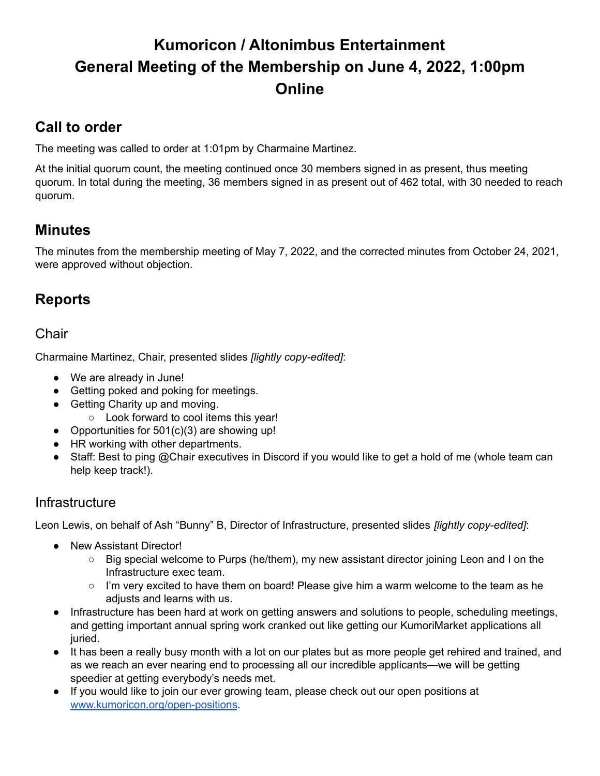# **Kumoricon / Altonimbus Entertainment General Meeting of the Membership on June 4, 2022, 1:00pm Online**

## **Call to order**

The meeting was called to order at 1:01pm by Charmaine Martinez.

At the initial quorum count, the meeting continued once 30 members signed in as present, thus meeting quorum. In total during the meeting, 36 members signed in as present out of 462 total, with 30 needed to reach quorum.

## **Minutes**

The minutes from the membership meeting of May 7, 2022, and the corrected minutes from October 24, 2021, were approved without objection.

## **Reports**

### Chair

Charmaine Martinez, Chair, presented slides *[lightly copy-edited]*:

- We are already in June!
- Getting poked and poking for meetings.
- Getting Charity up and moving.
	- Look forward to cool items this year!
- Opportunities for 501(c)(3) are showing up!
- HR working with other departments.
- Staff: Best to ping @Chair executives in Discord if you would like to get a hold of me (whole team can help keep track!).

### **Infrastructure**

Leon Lewis, on behalf of Ash "Bunny" B, Director of Infrastructure, presented slides *[lightly copy-edited]*:

- New Assistant Director!
	- Big special welcome to Purps (he/them), my new assistant director joining Leon and I on the Infrastructure exec team.
	- I'm very excited to have them on board! Please give him a warm welcome to the team as he adjusts and learns with us.
- Infrastructure has been hard at work on getting answers and solutions to people, scheduling meetings, and getting important annual spring work cranked out like getting our KumoriMarket applications all juried.
- It has been a really busy month with a lot on our plates but as more people get rehired and trained, and as we reach an ever nearing end to processing all our incredible applicants—we will be getting speedier at getting everybody's needs met.
- If you would like to join our ever growing team, please check out our open positions at [www.kumoricon.org/open-positions](https://www.kumoricon.org/open-positions).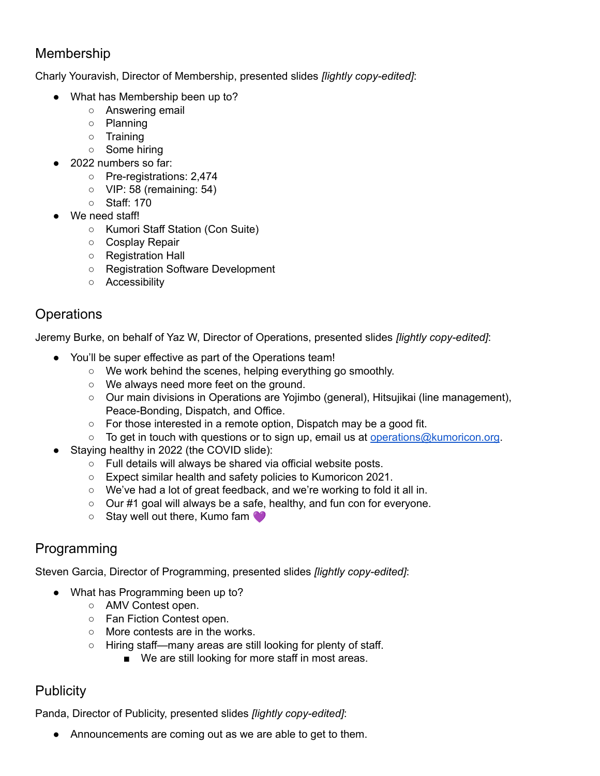### Membership

Charly Youravish, Director of Membership, presented slides *[lightly copy-edited]*:

- What has Membership been up to?
	- Answering email
	- Planning
	- Training
	- Some hiring
- 2022 numbers so far:
	- Pre-registrations: 2,474
	- VIP: 58 (remaining: 54)
	- Staff: 170
- We need staff!
	- Kumori Staff Station (Con Suite)
	- Cosplay Repair
	- Registration Hall
	- Registration Software Development
	- Accessibility

### **Operations**

Jeremy Burke, on behalf of Yaz W, Director of Operations, presented slides *[lightly copy-edited]*:

- You'll be super effective as part of the Operations team!
	- We work behind the scenes, helping everything go smoothly.
	- We always need more feet on the ground.
	- Our main divisions in Operations are Yojimbo (general), Hitsujikai (line management), Peace-Bonding, Dispatch, and Office.
	- For those interested in a remote option, Dispatch may be a good fit.
	- $\circ$  To get in touch with questions or to sign up, email us at [operations@kumoricon.org](mailto:operations@kumoricon.org).
- Staying healthy in 2022 (the COVID slide):
	- Full details will always be shared via official website posts.
	- Expect similar health and safety policies to Kumoricon 2021.
	- We've had a lot of great feedback, and we're working to fold it all in.
	- Our #1 goal will always be a safe, healthy, and fun con for everyone.
	- Stay well out there, Kumo fam ♥

## Programming

Steven Garcia, Director of Programming, presented slides *[lightly copy-edited]*:

- What has Programming been up to?
	- AMV Contest open.
	- Fan Fiction Contest open.
	- More contests are in the works.
	- Hiring staff—many areas are still looking for plenty of staff.
		- We are still looking for more staff in most areas.

## **Publicity**

Panda, Director of Publicity, presented slides *[lightly copy-edited]*:

● Announcements are coming out as we are able to get to them.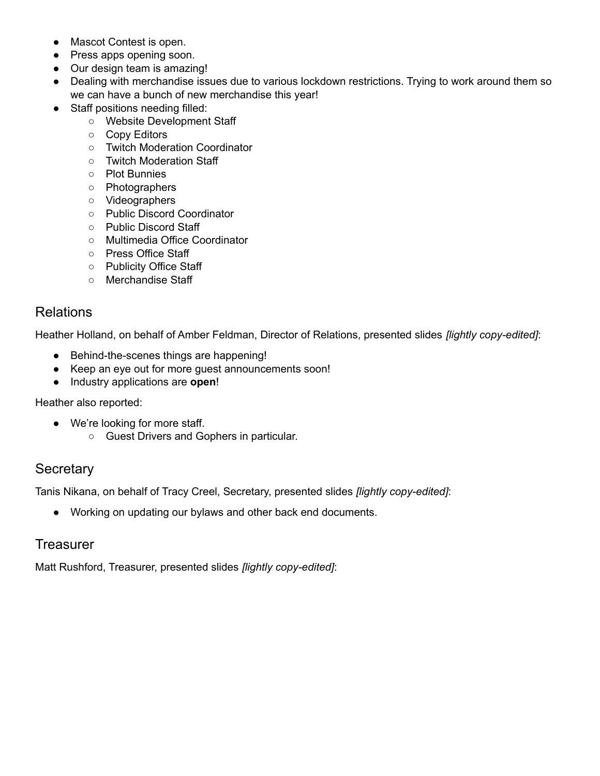- Mascot Contest is open.
- Press apps opening soon.
- Our design team is amazing!
- Dealing with merchandise issues due to various lockdown restrictions. Trying to work around them so we can have a bunch of new merchandise this year!
- Staff positions needing filled:
	- Website Development Staff
	- Copy Editors
	- Twitch Moderation Coordinator
	- Twitch Moderation Staff
	- Plot Bunnies
	- Photographers
	- Videographers
	- Public Discord Coordinator
	- Public Discord Staff
	- Multimedia Office Coordinator
	- Press Office Staff
	- Publicity Office Staff
	- Merchandise Staff

#### Relations

Heather Holland, on behalf of Amber Feldman, Director of Relations, presented slides *[lightly copy-edited]*:

- Behind-the-scenes things are happening!
- Keep an eye out for more guest announcements soon!
- Industry applications are **open**!

Heather also reported:

- We're looking for more staff.
	- Guest Drivers and Gophers in particular.

### **Secretary**

Tanis Nikana, on behalf of Tracy Creel, Secretary, presented slides *[lightly copy-edited]*:

● Working on updating our bylaws and other back end documents.

#### **Treasurer**

Matt Rushford, Treasurer, presented slides *[lightly copy-edited]*: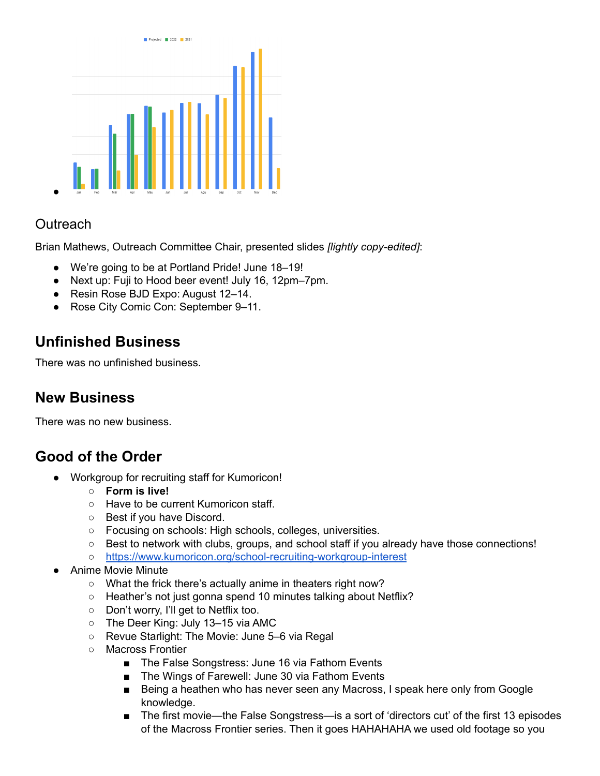

### **Outreach**

Brian Mathews, Outreach Committee Chair, presented slides *[lightly copy-edited]*:

- We're going to be at Portland Pride! June 18–19!
- Next up: Fuji to Hood beer event! July 16, 12pm–7pm.
- Resin Rose BJD Expo: August 12–14.
- Rose City Comic Con: September 9–11.

## **Unfinished Business**

There was no unfinished business.

## **New Business**

There was no new business.

## **Good of the Order**

- Workgroup for recruiting staff for Kumoricon!
	- **○ Form is live!**
	- Have to be current Kumoricon staff.
	- Best if you have Discord.
	- Focusing on schools: High schools, colleges, universities.
	- Best to network with clubs, groups, and school staff if you already have those connections!
	- <https://www.kumoricon.org/school-recruiting-workgroup-interest>
- Anime Movie Minute
	- What the frick there's actually anime in theaters right now?
	- Heather's not just gonna spend 10 minutes talking about Netflix?
	- Don't worry, I'll get to Netflix too.
	- The Deer King: July 13–15 via AMC
	- Revue Starlight: The Movie: June 5–6 via Regal
	- Macross Frontier
		- The False Songstress: June 16 via Fathom Events
		- The Wings of Farewell: June 30 via Fathom Events
		- Being a heathen who has never seen any Macross, I speak here only from Google knowledge.
		- The first movie—the False Songstress—is a sort of 'directors cut' of the first 13 episodes of the Macross Frontier series. Then it goes HAHAHAHA we used old footage so you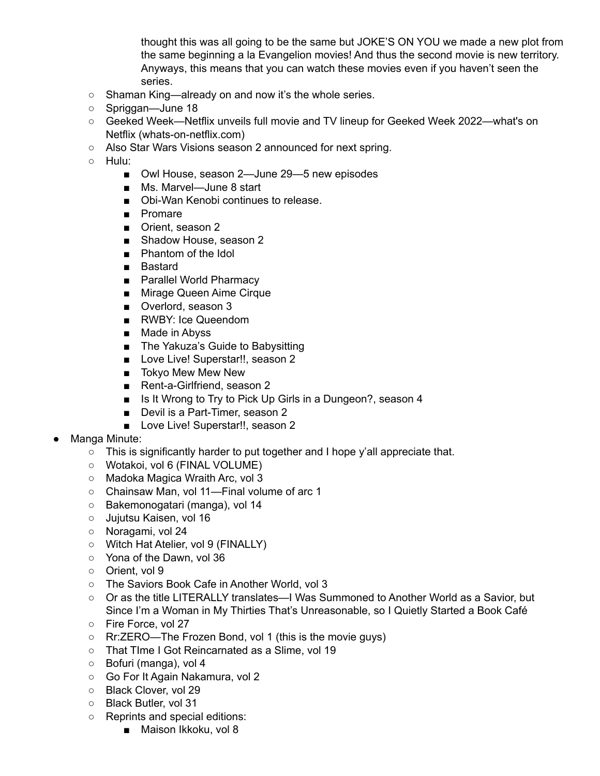thought this was all going to be the same but JOKE'S ON YOU we made a new plot from the same beginning a la Evangelion movies! And thus the second movie is new territory. Anyways, this means that you can watch these movies even if you haven't seen the series.

- Shaman King—already on and now it's the whole series.
- Spriggan—June 18
- Geeked Week—Netflix unveils full movie and TV lineup for Geeked Week 2022—what's on Netflix (whats-on-netflix.com)
- Also Star Wars Visions season 2 announced for next spring.
- Hulu:
	- Owl House, season 2—June 29—5 new episodes
	- Ms. Marvel—June 8 start
	- Obi-Wan Kenobi continues to release.
	- Promare
	- Orient, season 2
	- Shadow House, season 2
	- Phantom of the Idol
	- Bastard
	- Parallel World Pharmacy
	- Mirage Queen Aime Cirque
	- Overlord, season 3
	- RWBY: Ice Queendom
	- Made in Abyss
	- The Yakuza's Guide to Babysitting
	- Love Live! Superstar!!, season 2
	- Tokyo Mew Mew New
	- Rent-a-Girlfriend, season 2
	- Is It Wrong to Try to Pick Up Girls in a Dungeon?, season 4
	- Devil is a Part-Timer, season 2
	- Love Live! Superstar!!, season 2
- Manga Minute:
	- This is significantly harder to put together and I hope y'all appreciate that.
	- Wotakoi, vol 6 (FINAL VOLUME)
	- Madoka Magica Wraith Arc, vol 3
	- Chainsaw Man, vol 11—Final volume of arc 1
	- Bakemonogatari (manga), vol 14
	- o Jujutsu Kaisen, vol 16
	- Noragami, vol 24
	- Witch Hat Atelier, vol 9 (FINALLY)
	- Yona of the Dawn, vol 36
	- Orient, vol 9
	- The Saviors Book Cafe in Another World, vol 3
	- Or as the title LITERALLY translates—I Was Summoned to Another World as a Savior, but Since I'm a Woman in My Thirties That's Unreasonable, so I Quietly Started a Book Café
	- Fire Force, vol 27
	- Rr:ZERO—The Frozen Bond, vol 1 (this is the movie guys)
	- That TIme I Got Reincarnated as a Slime, vol 19
	- Bofuri (manga), vol 4
	- Go For It Again Nakamura, vol 2
	- Black Clover, vol 29
	- Black Butler, vol 31
	- Reprints and special editions:
		- Maison Ikkoku, vol 8